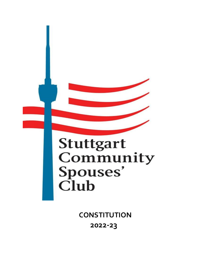

**CONSTITUTION 2022-23**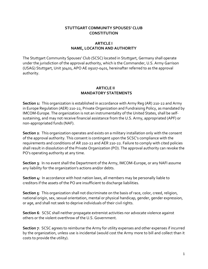# **STUTTGART COMMUNITY SPOUSES' CLUB CONSTITUTION**

# **ARTICLE I NAME, LOCATION AND AUTHORITY**

The Stuttgart Community Spouses' Club (SCSC) located in Stuttgart, Germany shall operate under the jurisdiction of the approval authority, which is the Commander, U.S. Army Garrison (USAG) Stuttgart, Unit 30401, APO AE 09107-0401, hereinafter referred to as the approval authority.

## **ARTICLE II MANDATORY STATEMENTS**

**Section 1:** This organization is established in accordance with Army Reg (AR) 210-22 and Army in Europe Regulation (AER) 210-22, Private Organization and Fundraising Policy, as mandated by IMCOM-Europe. The organization is not an instrumentality of the United States, shall be selfsustaining, and may not receive financial assistance from the U.S. Army, appropriated (APF) or non-appropriated funds (NAF).

**Section 2**: This organization operates and exists on a military installation only with the consent of the approval authority. This consent is contingent upon the SCSC's compliance with the requirements and conditions of AR 210-22 and AER 210-22. Failure to comply with cited policies shall result in dissolution of the Private Organization (PO). The approval authority can revoke the PO's operating authority at any time.

**Section 3**: In no event shall the Department of the Army, IMCOM-Europe, or any NAFI assume any liability for the organization's actions and/or debts.

**Section 4:** In accordance with host nation laws, all members may be personally liable to creditors if the assets of the PO are insufficient to discharge liabilities.

**Section 5**: This organization shall not discriminate on the basis of race, color, creed, religion, national origin, sex, sexual orientation, mental or physical handicap, gender, gender expression, or age, and shall not seek to deprive individuals of their civil rights.

**Section 6**: SCSC shall neither propagate extremist activities nor advocate violence against others or the violent overthrow of the U.S. Government.

**Section 7**: SCSC agrees to reimburse the Army for utility expenses and other expenses if incurred by the organization, unless use is incidental (would cost the Army more to bill and collect than it costs to provide the utility).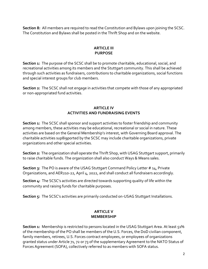**Section 8:** All members are required to read the Constitution and Bylaws upon joining the SCSC. The Constitution and Bylaws shall be posted in the Thrift Shop and on the website.

# **ARTICLE III PURPOSE**

**Section 1:** The purpose of the SCSC shall be to promote charitable, educational, social, and recreational activities among its members and the Stuttgart community. This shall be achieved through such activities as fundraisers, contributions to charitable organizations, social functions and special interest groups for club members.

**Section 2:** The SCSC shall not engage in activities that compete with those of any appropriated or non-appropriated fund activities.

# **ARTICLE IV ACTIVITIES AND FUNDRAISING EVENTS**

**Section 1:** The SCSC shall sponsor and support activities to foster friendship and community among members, these activities may be educational, recreational or social in nature. These activities are based on the General Membership's interest, with Governing Board approval. The charitable activities sup8igported by the SCSC may include charitable organizations, private organizations and other special activities.

**Section 2:** The organization shall operate the Thrift Shop, with USAG Stuttgart support, primarily to raise charitable funds. The organization shall also conduct Ways & Means sales.

**Section 3:** The PO is aware of the USAG Stuttgart Command Policy Letter # 14, Private Organizations, and AER210-22, April 4, 2022, and shall conduct all fundraisers accordingly.

**Section 4:** The SCSC's activities are directed towards supporting quality of life within the community and raising funds for charitable purposes.

**Section 5:** The SCSC's activities are primarily conducted on-USAG Stuttgart Installations.

### **ARTICLE V MEMBERSHIP**

**Section 1:** Membership is restricted to persons located in the USAG Stuttgart Area. At least 51% of the membership of the PO shall be members of the U.S. Forces, the DoD civilian component, family members, retirees, U.S. Forces contract employees, or employees of organizations granted status under Article 71, 72 or 73 of the supplementary Agreement to the NATO Status of Forces Agreement (SOFA), collectively referred to as members with SOFA status.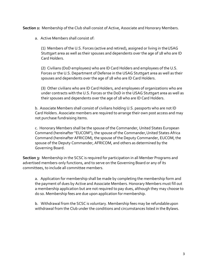**Section 2:** Membership of the Club shall consist of Active, Associate and Honorary Members.

a. Active Members shall consist of:

(1) Members of the U.S. Forces (active and retired), assigned or living in theUSAG Stuttgart area as well as their spouses and dependents over the age of 18 who are ID Card Holders.

(2) Civilians (DoD employees) who are ID Card Holders and employees of the U.S. Forces or the U.S. Department of Defense in the USAG Stuttgart area as well as their spouses and dependents over the age of 18 who are ID Card Holders.

(3) Other civilians who are ID Card Holders, and employees of organizations who are under contracts with the U.S. Forces or the DoD in the USAG Stuttgart area as well as their spouses and dependents over the age of 18 who are ID Card Holders.

b. Associate Members shall consist of civilians holding U.S. passports who are not ID Card Holders. Associate members are required to arrange their own post access and may not purchase fundraising items.

c. Honorary Members shall be the spouse of the Commander, United States European Command (hereinafter "EUCOM"), the spouse of the Commander,United States Africa Command (hereinafter AFRICOM), the spouse of the Deputy Commander, EUCOM, the spouse of the Deputy Commander, AFRICOM, and others as determined by the Governing Board.

**Section 3:** Membership in the SCSC is required for participation in all Member Programs and advertised members-only functions, and to serve on the Governing Board or any of its committees, to include all committee members.

a. Application for membership shall be made by completing the membership form and the payment of dues by Active and Associate Members. Honorary Members must fill out a membership application but are not required to pay dues, although they may choose to do so. Membership fees are due upon application for membership.

b. Withdrawal from the SCSC is voluntary. Membership fees may be refundableupon withdrawal from the Club under the conditions and circumstances listed in the Bylaws.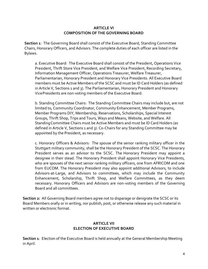### **ARTICLE VI COMPOSITION OF THE GOVERNING BOARD**

**Section 1**: The Governing Board shall consist of the Executive Board, Standing Committee Chairs, Honorary Officers, and Advisors. The complete duties of each officer are listed in the Bylaws.

a. Executive Board: The Executive Board shall consist of the President, Operations Vice President, Thrift Store Vice President, and Welfare Vice President, Recording Secretary, Information Management Officer, Operations Treasurer, Welfare Treasurer, Parliamentarian, Honorary President and Honorary Vice Presidents. All Executive Board members must be Active Members of the SCSC and must be ID Card Holders (as defined in Article V, Sections 1 and 3). The Parliamentarian, Honorary President and Honorary VicePresidents are non-voting members of the Executive Board.

b. Standing Committee Chairs: The Standing Committee Chairs may include but, are not limited to, Community Coordinator, Community Enhancement, Member Programs, Member Programs DIY, Membership, Reservations, Scholarships, Special Interest Groups, Thrift Shop, Trips and Tours, Ways and Means, Website, and Welfare. All StandingCommittee Chairs must be Active Members and must be ID Card Holders (as defined in Article V, Sections 1 and 3). Co-Chairs for any Standing Committee may be appointed by the President, as necessary.

c. Honorary Officers & Advisors: The spouse of the senior ranking military officer in the Stuttgart military community, shall be the Honorary President of the SCSC. The Honorary President serves as an advisor to the SCSC. The Honorary President may appoint a designee in their stead. The Honorary President shall appoint Honorary Vice Presidents, who are spouses of the next senior ranking military officers, one from AFRICOM and one from EUCOM. The Honorary President may also appoint additional Advisors, to include Advisors-at-Large, and Advisors to committees, which may include the Community Enhancement, Scholarship, Thrift Shop, and Welfare Committees, as they deem necessary. Honorary Officers and Advisors are non-voting members of the Governing Board and all committees.

**Section 2:** All Governing Board members agree not to disparage or denigrate the SCSC or its Board Members orally or in writing, nor publish, post, or otherwise release any such material in written or electronic format.

### **ARTICLE VII ELECTION OF EXECUTIVE BOARD**

**Section 1**: Election of the Executive Board is held annually at the General Membership Meeting in April.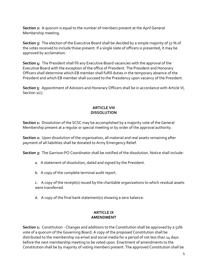**Section 2:** A quorum is equal to the number of members present at the April General Membership meeting.

**Section 3:** The election of the Executive Board shall be decided by a simple majority of 51 % of the votes received to include those present. If a single slate of officers is presented, it may be approved by acclamation.

**Section 4:** The President shall fill any Executive Board vacancies with the approval of the Executive Board with the exception of the office of President. The President and Honorary Officers shall determine which EB member shall fulfill duties in the temporary absence of the President and which EB member shall succeed to the Presidency upon vacancy of the President.

**Section 5**: Appointment of Advisors and Honorary Officers shall be in accordance with Article VI, Section  $1(c)$ .

#### **ARTICLE VIII DISSOLUTION**

**Section 1:** Dissolution of the SCSC may be accomplished by a majority vote of the General Membership present at a regular or special meeting or by order of the approval authority.

**Section 2:** Upon dissolution of the organization, all material and real assets remaining after payment of all liabilities shall be donated to Army Emergency Relief.

**Section 3:** The Garrison PO Coordinator shall be notified of the dissolution. Notice shall include:

- a. A statement of dissolution, dated and signed by the President.
- b. A copy of the complete terminal audit report.

c. A copy of the receipt(s) issued by the charitable organizations to which residual assets were transferred.

d. A copy of the final bank statement(s) showing a zero balance.

# **ARTICLE IX AMENDMENT**

**Section 1:** Constitution - Changes and additions to the Constitution shall be approved by a 51% vote of a quorum of the Governing Board. A copy of the proposed Constitution shall be distributed to the membership via email and social media for a period of not less than 14 days before the next membership meeting to be voted upon. Enactment of amendments to the Constitution shall be by majority of voting members present. The approved Constitution shall be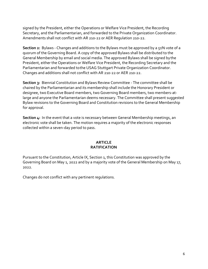signed by the President, either the Operations or Welfare Vice President, the Recording Secretary, and the Parliamentarian, and forwarded to the Private Organization Coordinator. Amendments shall not conflict with AR 210-22 or AER Regulation 210-22.

Section 2: Bylaws - Changes and additions to the Bylaws must be approved by a 51% vote of a quorum of the Governing Board. A copy of the approved Bylaws shall be distributed to the General Membership by email and social media. The approved Bylaws shall be signed bythe President, either the Operations or Welfare Vice President, the Recording Secretary and the Parliamentarian and forwarded tothe USAG Stuttgart Private Organization Coordinator. Changes and additions shall not conflict with AR 210-22 or AER 210-22.

**Section 3:** Biennial Constitution and Bylaws Review Committee - The committee shall be chaired by the Parliamentarian and its membership shall include the Honorary President or designee, two Executive Board members, two Governing Board members, two members-atlarge and anyone the Parliamentarian deems necessary. The Committee shall present suggested Bylaw revisions to the Governing Board and Constitution revisions to the General Membership for approval.

**Section 4:** In the event that a vote is necessary between General Membership meetings, an electronic vote shall be taken. The motion requires a majority of the electronic responses collected within a seven-day period to pass.

### **ARTICLE RATIFICATION**

Pursuant to the Constitution, Article IX, Section 1, this Constitution was approved by the Governing Board on May 1, 2022 and by a majority vote of the General Membership on May 17, 2022.

Changes do not conflict with any pertinent regulations.